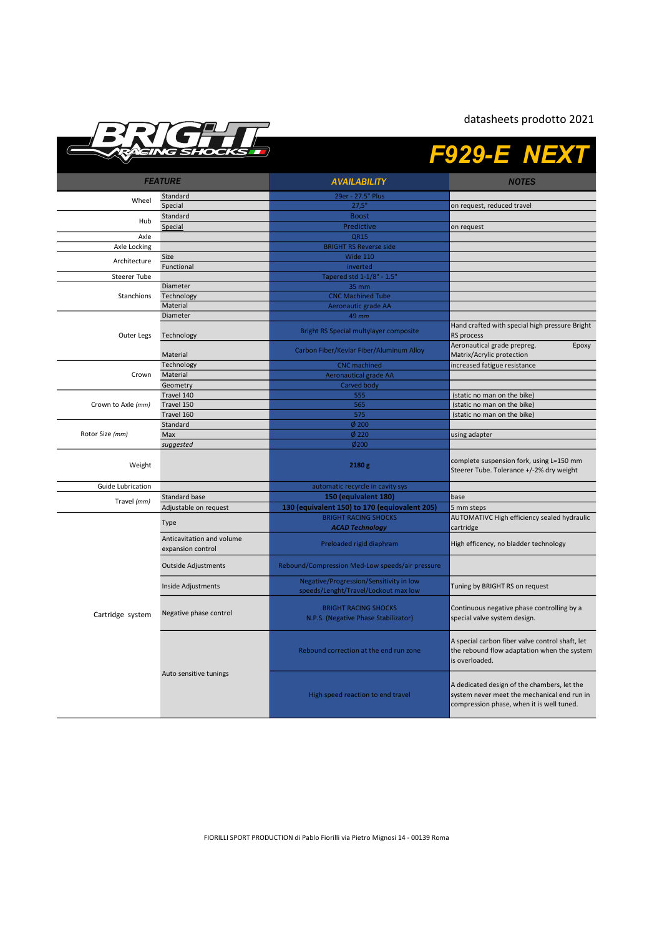datasheets prodotto 2021



## F929-E NEXT

| <b>FEATURE</b>     |                                                | <b>AVAILABILITY</b>                                                             | <b>NOTES</b>                                                                                                                            |
|--------------------|------------------------------------------------|---------------------------------------------------------------------------------|-----------------------------------------------------------------------------------------------------------------------------------------|
| Wheel              | Standard                                       | 29er - 27.5" Plus                                                               |                                                                                                                                         |
|                    | Special                                        | 27,5"                                                                           | on request, reduced travel                                                                                                              |
|                    | Standard                                       | <b>Boost</b>                                                                    |                                                                                                                                         |
| Hub                | Special                                        | Predictive                                                                      | on request                                                                                                                              |
| Axle               |                                                | QR15                                                                            |                                                                                                                                         |
| Axle Locking       |                                                | <b>BRIGHT RS Reverse side</b>                                                   |                                                                                                                                         |
|                    | Size                                           | <b>Wide 110</b>                                                                 |                                                                                                                                         |
| Architecture       | Functional                                     | inverted                                                                        |                                                                                                                                         |
| Steerer Tube       |                                                | Tapered std 1-1/8" - 1.5"                                                       |                                                                                                                                         |
| Stanchions         | Diameter                                       | 35 mm                                                                           |                                                                                                                                         |
|                    | Technology                                     | <b>CNC Machined Tube</b>                                                        |                                                                                                                                         |
|                    | Material                                       | Aeronautic grade AA                                                             |                                                                                                                                         |
|                    | Diameter                                       | 49 mm                                                                           |                                                                                                                                         |
| Outer Legs         | Technology                                     | Bright RS Special multylayer composite                                          | Hand crafted with special high pressure Bright<br>RS process                                                                            |
|                    | Material                                       | Carbon Fiber/Kevlar Fiber/Aluminum Alloy                                        | Aeronautical grade prepreg.<br>Epoxy<br>Matrix/Acrylic protection                                                                       |
|                    | Technology                                     | <b>CNC</b> machined                                                             | increased fatigue resistance                                                                                                            |
| Crown              | Material                                       | <b>Aeronautical grade AA</b>                                                    |                                                                                                                                         |
|                    | Geometry                                       | Carved body                                                                     |                                                                                                                                         |
|                    | Travel 140                                     | 555                                                                             | (static no man on the bike)                                                                                                             |
| Crown to Axle (mm) | Travel 150                                     | 565                                                                             | (static no man on the bike)                                                                                                             |
|                    | Travel 160                                     | 575                                                                             | (static no man on the bike)                                                                                                             |
|                    | Standard                                       | $\phi$ 200                                                                      |                                                                                                                                         |
| Rotor Size (mm)    | Max                                            | $Ø$ 220                                                                         | using adapter                                                                                                                           |
|                    | suggested                                      | Ø200                                                                            |                                                                                                                                         |
| Weight             |                                                | 2180 g                                                                          | complete suspension fork, using L=150 mm<br>Steerer Tube. Tolerance +/-2% dry weight                                                    |
| Guide Lubrication  |                                                | automatic recyrcle in cavity sys                                                |                                                                                                                                         |
|                    | Standard base                                  | 150 (equivalent 180)                                                            | base                                                                                                                                    |
| Travel (mm)        | Adjustable on request                          | 130 (equivalent 150) to 170 (equiovalent 205)                                   | 5 mm steps                                                                                                                              |
| Cartridge system   | Type                                           | <b>BRIGHT RACING SHOCKS</b><br><b>ACAD Technology</b>                           | AUTOMATIVC High efficiency sealed hydraulic<br>cartridge                                                                                |
|                    | Anticavitation and volume<br>expansion control | Preloaded rigid diaphram                                                        | High efficency, no bladder technology                                                                                                   |
|                    | <b>Outside Adjustments</b>                     | Rebound/Compression Med-Low speeds/air pressure                                 |                                                                                                                                         |
|                    | Inside Adjustments                             | Negative/Progression/Sensitivity in low<br>speeds/Lenght/Travel/Lockout max low | Tuning by BRIGHT RS on request                                                                                                          |
|                    | Negative phase control                         | <b>BRIGHT RACING SHOCKS</b><br>N.P.S. (Negative Phase Stabilizator)             | Continuous negative phase controlling by a<br>special valve system design.                                                              |
|                    | Auto sensitive tunings                         | Rebound correction at the end run zone                                          | A special carbon fiber valve control shaft, let<br>the rebound flow adaptation when the system<br>is overloaded.                        |
|                    |                                                | High speed reaction to end travel                                               | A dedicated design of the chambers, let the<br>system never meet the mechanical end run in<br>compression phase, when it is well tuned. |

FIORILLI SPORT PRODUCTION di Pablo Fiorilli via Pietro Mignosi 14 - 00139 Roma